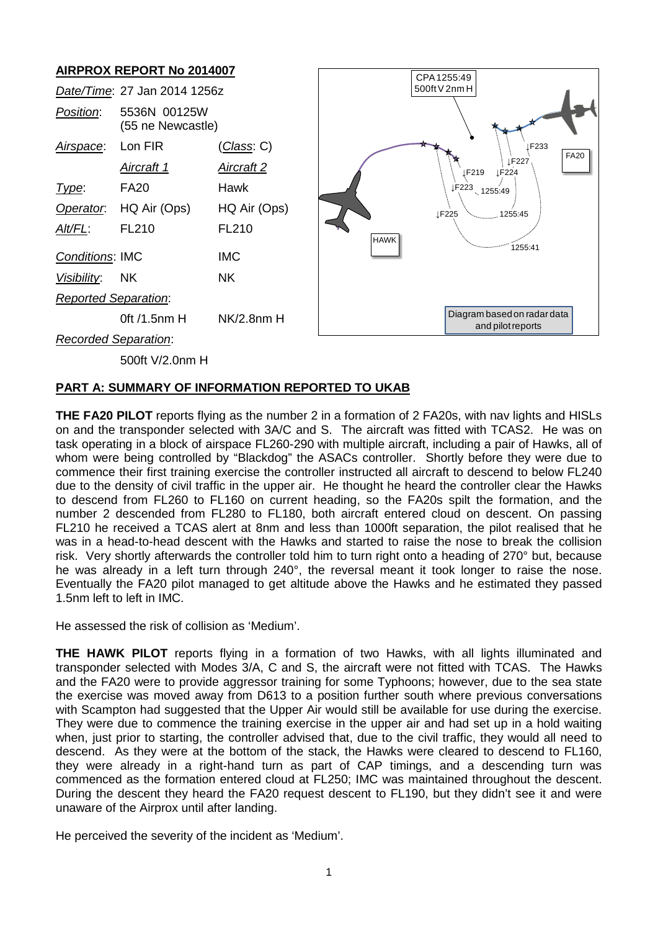# **AIRPROX REPORT No 2014007**



#### **PART A: SUMMARY OF INFORMATION REPORTED TO UKAB**

**THE FA20 PILOT** reports flying as the number 2 in a formation of 2 FA20s, with nav lights and HISLs on and the transponder selected with 3A/C and S. The aircraft was fitted with TCAS2. He was on task operating in a block of airspace FL260-290 with multiple aircraft, including a pair of Hawks, all of whom were being controlled by "Blackdog" the ASACs controller. Shortly before they were due to commence their first training exercise the controller instructed all aircraft to descend to below FL240 due to the density of civil traffic in the upper air. He thought he heard the controller clear the Hawks to descend from FL260 to FL160 on current heading, so the FA20s spilt the formation, and the number 2 descended from FL280 to FL180, both aircraft entered cloud on descent. On passing FL210 he received a TCAS alert at 8nm and less than 1000ft separation, the pilot realised that he was in a head-to-head descent with the Hawks and started to raise the nose to break the collision risk. Very shortly afterwards the controller told him to turn right onto a heading of 270° but, because he was already in a left turn through 240°, the reversal meant it took longer to raise the nose. Eventually the FA20 pilot managed to get altitude above the Hawks and he estimated they passed 1.5nm left to left in IMC.

He assessed the risk of collision as 'Medium'.

**THE HAWK PILOT** reports flying in a formation of two Hawks, with all lights illuminated and transponder selected with Modes 3/A, C and S, the aircraft were not fitted with TCAS. The Hawks and the FA20 were to provide aggressor training for some Typhoons; however, due to the sea state the exercise was moved away from D613 to a position further south where previous conversations with Scampton had suggested that the Upper Air would still be available for use during the exercise. They were due to commence the training exercise in the upper air and had set up in a hold waiting when, just prior to starting, the controller advised that, due to the civil traffic, they would all need to descend. As they were at the bottom of the stack, the Hawks were cleared to descend to FL160, they were already in a right-hand turn as part of CAP timings, and a descending turn was commenced as the formation entered cloud at FL250; IMC was maintained throughout the descent. During the descent they heard the FA20 request descent to FL190, but they didn't see it and were unaware of the Airprox until after landing.

He perceived the severity of the incident as 'Medium'.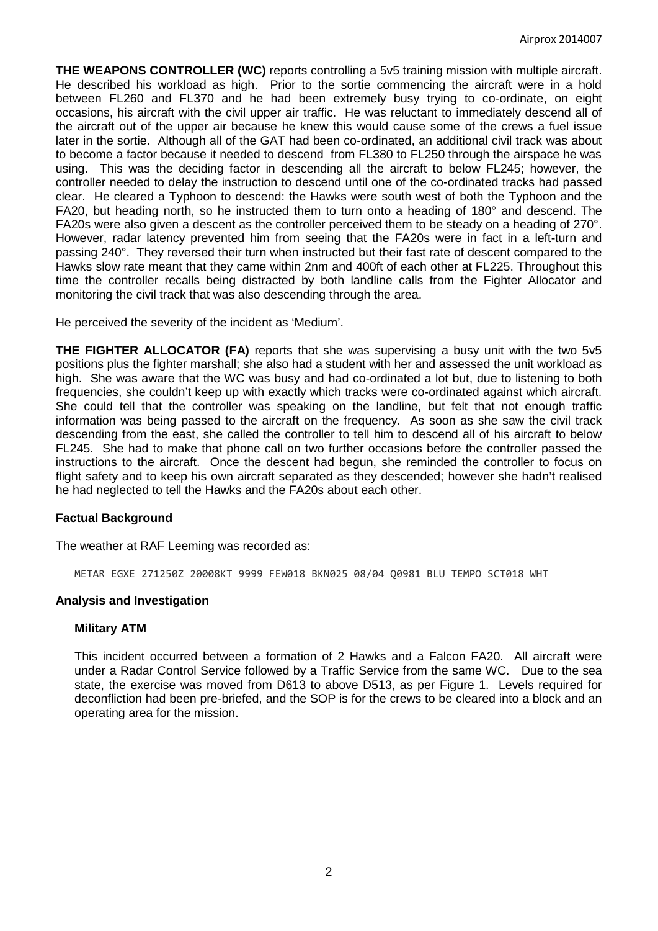**THE WEAPONS CONTROLLER (WC)** reports controlling a 5v5 training mission with multiple aircraft. He described his workload as high. Prior to the sortie commencing the aircraft were in a hold between FL260 and FL370 and he had been extremely busy trying to co-ordinate, on eight occasions, his aircraft with the civil upper air traffic. He was reluctant to immediately descend all of the aircraft out of the upper air because he knew this would cause some of the crews a fuel issue later in the sortie. Although all of the GAT had been co-ordinated, an additional civil track was about to become a factor because it needed to descend from FL380 to FL250 through the airspace he was using. This was the deciding factor in descending all the aircraft to below FL245; however, the controller needed to delay the instruction to descend until one of the co-ordinated tracks had passed clear. He cleared a Typhoon to descend: the Hawks were south west of both the Typhoon and the FA20, but heading north, so he instructed them to turn onto a heading of 180° and descend. The FA20s were also given a descent as the controller perceived them to be steady on a heading of 270°. However, radar latency prevented him from seeing that the FA20s were in fact in a left-turn and passing 240°. They reversed their turn when instructed but their fast rate of descent compared to the Hawks slow rate meant that they came within 2nm and 400ft of each other at FL225. Throughout this time the controller recalls being distracted by both landline calls from the Fighter Allocator and monitoring the civil track that was also descending through the area.

He perceived the severity of the incident as 'Medium'.

**THE FIGHTER ALLOCATOR (FA)** reports that she was supervising a busy unit with the two 5v5 positions plus the fighter marshall; she also had a student with her and assessed the unit workload as high. She was aware that the WC was busy and had co-ordinated a lot but, due to listening to both frequencies, she couldn't keep up with exactly which tracks were co-ordinated against which aircraft. She could tell that the controller was speaking on the landline, but felt that not enough traffic information was being passed to the aircraft on the frequency. As soon as she saw the civil track descending from the east, she called the controller to tell him to descend all of his aircraft to below FL245. She had to make that phone call on two further occasions before the controller passed the instructions to the aircraft. Once the descent had begun, she reminded the controller to focus on flight safety and to keep his own aircraft separated as they descended; however she hadn't realised he had neglected to tell the Hawks and the FA20s about each other.

## **Factual Background**

The weather at RAF Leeming was recorded as:

METAR EGXE 271250Z 20008KT 9999 FEW018 BKN025 08/04 Q0981 BLU TEMPO SCT018 WHT

## **Analysis and Investigation**

## **Military ATM**

This incident occurred between a formation of 2 Hawks and a Falcon FA20. All aircraft were under a Radar Control Service followed by a Traffic Service from the same WC. Due to the sea state, the exercise was moved from D613 to above D513, as per Figure 1. Levels required for deconfliction had been pre-briefed, and the SOP is for the crews to be cleared into a block and an operating area for the mission.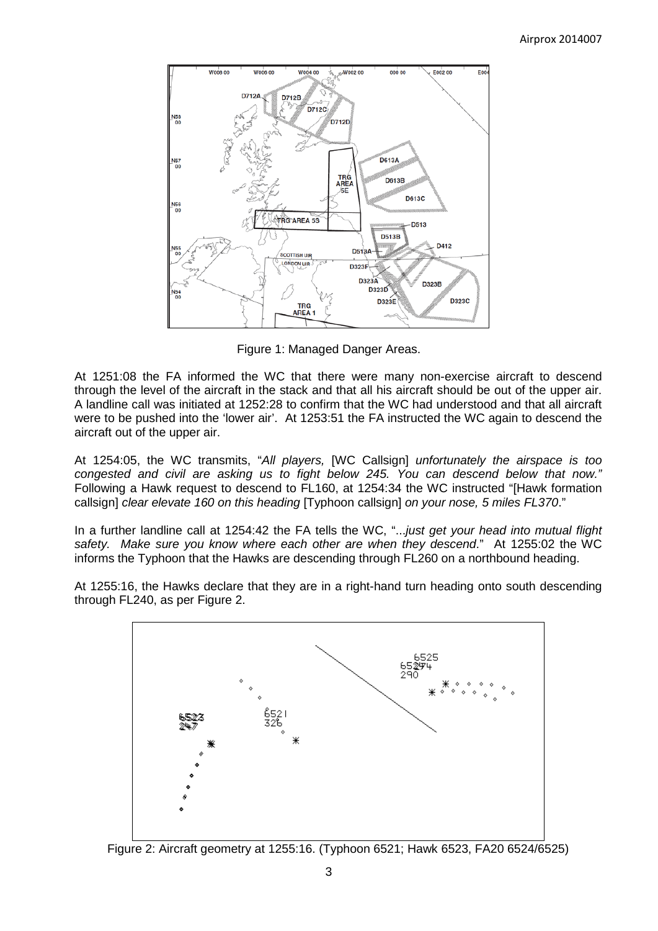

Figure 1: Managed Danger Areas.

At 1251:08 the FA informed the WC that there were many non-exercise aircraft to descend through the level of the aircraft in the stack and that all his aircraft should be out of the upper air. A landline call was initiated at 1252:28 to confirm that the WC had understood and that all aircraft were to be pushed into the 'lower air'. At 1253:51 the FA instructed the WC again to descend the aircraft out of the upper air.

At 1254:05, the WC transmits, "*All players,* [WC Callsign] *unfortunately the airspace is too congested and civil are asking us to fight below 245. You can descend below that now."* Following a Hawk request to descend to FL160, at 1254:34 the WC instructed "[Hawk formation callsign] *clear elevate 160 on this heading* [Typhoon callsign] *on your nose, 5 miles FL370*."

In a further landline call at 1254:42 the FA tells the WC, "...*just get your head into mutual flight safety. Make sure you know where each other are when they descend*." At 1255:02 the WC informs the Typhoon that the Hawks are descending through FL260 on a northbound heading.

At 1255:16, the Hawks declare that they are in a right-hand turn heading onto south descending through FL240, as per Figure 2.



Figure 2: Aircraft geometry at 1255:16. (Typhoon 6521; Hawk 6523, FA20 6524/6525)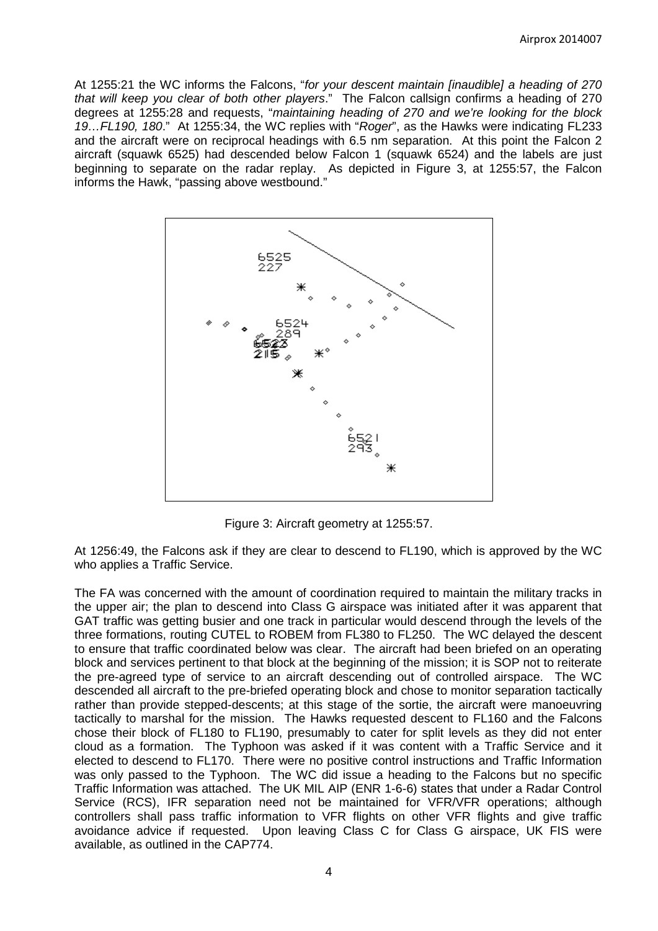At 1255:21 the WC informs the Falcons, "*for your descent maintain [inaudible] a heading of 270 that will keep you clear of both other players*." The Falcon callsign confirms a heading of 270 degrees at 1255:28 and requests, "*maintaining heading of 270 and we're looking for the block 19…FL190, 180*." At 1255:34, the WC replies with "*Roger*", as the Hawks were indicating FL233 and the aircraft were on reciprocal headings with 6.5 nm separation. At this point the Falcon 2 aircraft (squawk 6525) had descended below Falcon 1 (squawk 6524) and the labels are just beginning to separate on the radar replay. As depicted in Figure 3, at 1255:57, the Falcon informs the Hawk, "passing above westbound."



Figure 3: Aircraft geometry at 1255:57.

At 1256:49, the Falcons ask if they are clear to descend to FL190, which is approved by the WC who applies a Traffic Service.

The FA was concerned with the amount of coordination required to maintain the military tracks in the upper air; the plan to descend into Class G airspace was initiated after it was apparent that GAT traffic was getting busier and one track in particular would descend through the levels of the three formations, routing CUTEL to ROBEM from FL380 to FL250. The WC delayed the descent to ensure that traffic coordinated below was clear. The aircraft had been briefed on an operating block and services pertinent to that block at the beginning of the mission; it is SOP not to reiterate the pre-agreed type of service to an aircraft descending out of controlled airspace. The WC descended all aircraft to the pre-briefed operating block and chose to monitor separation tactically rather than provide stepped-descents; at this stage of the sortie, the aircraft were manoeuvring tactically to marshal for the mission. The Hawks requested descent to FL160 and the Falcons chose their block of FL180 to FL190, presumably to cater for split levels as they did not enter cloud as a formation. The Typhoon was asked if it was content with a Traffic Service and it elected to descend to FL170. There were no positive control instructions and Traffic Information was only passed to the Typhoon. The WC did issue a heading to the Falcons but no specific Traffic Information was attached. The UK MIL AIP (ENR 1-6-6) states that under a Radar Control Service (RCS), IFR separation need not be maintained for VFR/VFR operations; although controllers shall pass traffic information to VFR flights on other VFR flights and give traffic avoidance advice if requested. Upon leaving Class C for Class G airspace, UK FIS were available, as outlined in the CAP774.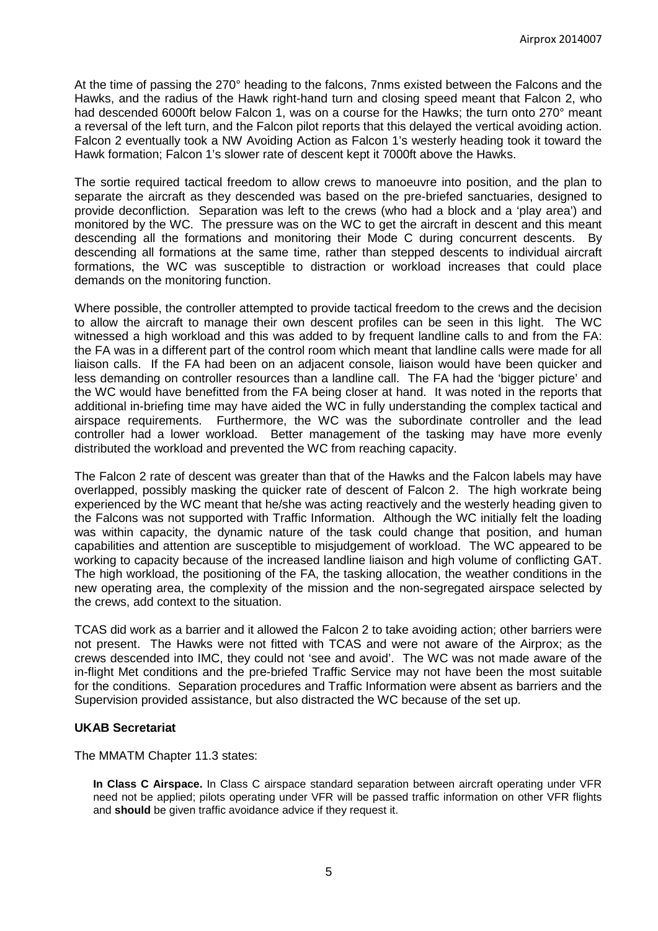At the time of passing the 270° heading to the falcons, 7nms existed between the Falcons and the Hawks, and the radius of the Hawk right-hand turn and closing speed meant that Falcon 2, who had descended 6000ft below Falcon 1, was on a course for the Hawks; the turn onto 270° meant a reversal of the left turn, and the Falcon pilot reports that this delayed the vertical avoiding action. Falcon 2 eventually took a NW Avoiding Action as Falcon 1's westerly heading took it toward the Hawk formation; Falcon 1's slower rate of descent kept it 7000ft above the Hawks.

The sortie required tactical freedom to allow crews to manoeuvre into position, and the plan to separate the aircraft as they descended was based on the pre-briefed sanctuaries, designed to provide deconfliction. Separation was left to the crews (who had a block and a 'play area') and monitored by the WC. The pressure was on the WC to get the aircraft in descent and this meant descending all the formations and monitoring their Mode C during concurrent descents. By descending all formations at the same time, rather than stepped descents to individual aircraft formations, the WC was susceptible to distraction or workload increases that could place demands on the monitoring function.

Where possible, the controller attempted to provide tactical freedom to the crews and the decision to allow the aircraft to manage their own descent profiles can be seen in this light. The WC witnessed a high workload and this was added to by frequent landline calls to and from the FA: the FA was in a different part of the control room which meant that landline calls were made for all liaison calls. If the FA had been on an adjacent console, liaison would have been quicker and less demanding on controller resources than a landline call. The FA had the 'bigger picture' and the WC would have benefitted from the FA being closer at hand. It was noted in the reports that additional in-briefing time may have aided the WC in fully understanding the complex tactical and airspace requirements. Furthermore, the WC was the subordinate controller and the lead controller had a lower workload. Better management of the tasking may have more evenly distributed the workload and prevented the WC from reaching capacity.

The Falcon 2 rate of descent was greater than that of the Hawks and the Falcon labels may have overlapped, possibly masking the quicker rate of descent of Falcon 2. The high workrate being experienced by the WC meant that he/she was acting reactively and the westerly heading given to the Falcons was not supported with Traffic Information. Although the WC initially felt the loading was within capacity, the dynamic nature of the task could change that position, and human capabilities and attention are susceptible to misjudgement of workload. The WC appeared to be working to capacity because of the increased landline liaison and high volume of conflicting GAT. The high workload, the positioning of the FA, the tasking allocation, the weather conditions in the new operating area, the complexity of the mission and the non-segregated airspace selected by the crews, add context to the situation.

TCAS did work as a barrier and it allowed the Falcon 2 to take avoiding action; other barriers were not present. The Hawks were not fitted with TCAS and were not aware of the Airprox; as the crews descended into IMC, they could not 'see and avoid'. The WC was not made aware of the in-flight Met conditions and the pre-briefed Traffic Service may not have been the most suitable for the conditions. Separation procedures and Traffic Information were absent as barriers and the Supervision provided assistance, but also distracted the WC because of the set up.

#### **UKAB Secretariat**

The MMATM Chapter 11.3 states:

**In Class C Airspace.** In Class C airspace standard separation between aircraft operating under VFR need not be applied; pilots operating under VFR will be passed traffic information on other VFR flights and **should** be given traffic avoidance advice if they request it.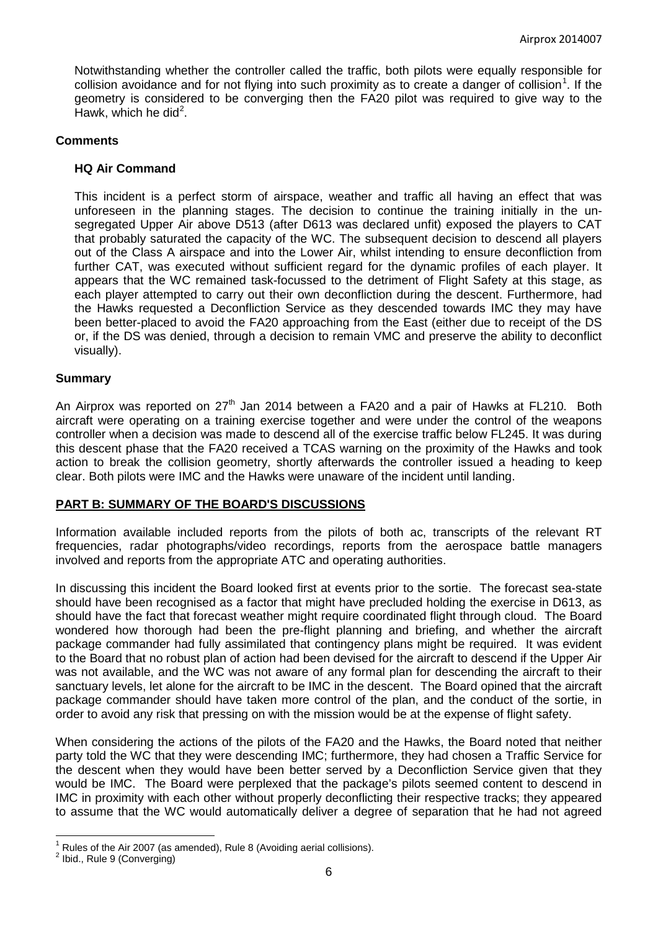Notwithstanding whether the controller called the traffic, both pilots were equally responsible for collision avoidance and for not flying into such proximity as to create a danger of collision<sup>[1](#page-5-0)</sup>. If the geometry is considered to be converging then the FA20 pilot was required to give way to the Hawk, which he did<sup>[2](#page-5-1)</sup>.

## **Comments**

#### **HQ Air Command**

This incident is a perfect storm of airspace, weather and traffic all having an effect that was unforeseen in the planning stages. The decision to continue the training initially in the unsegregated Upper Air above D513 (after D613 was declared unfit) exposed the players to CAT that probably saturated the capacity of the WC. The subsequent decision to descend all players out of the Class A airspace and into the Lower Air, whilst intending to ensure deconfliction from further CAT, was executed without sufficient regard for the dynamic profiles of each player. It appears that the WC remained task-focussed to the detriment of Flight Safety at this stage, as each player attempted to carry out their own deconfliction during the descent. Furthermore, had the Hawks requested a Deconfliction Service as they descended towards IMC they may have been better-placed to avoid the FA20 approaching from the East (either due to receipt of the DS or, if the DS was denied, through a decision to remain VMC and preserve the ability to deconflict visually).

#### **Summary**

An Airprox was reported on  $27<sup>th</sup>$  Jan 2014 between a FA20 and a pair of Hawks at FL210. Both aircraft were operating on a training exercise together and were under the control of the weapons controller when a decision was made to descend all of the exercise traffic below FL245. It was during this descent phase that the FA20 received a TCAS warning on the proximity of the Hawks and took action to break the collision geometry, shortly afterwards the controller issued a heading to keep clear. Both pilots were IMC and the Hawks were unaware of the incident until landing.

#### **PART B: SUMMARY OF THE BOARD'S DISCUSSIONS**

Information available included reports from the pilots of both ac, transcripts of the relevant RT frequencies, radar photographs/video recordings, reports from the aerospace battle managers involved and reports from the appropriate ATC and operating authorities.

In discussing this incident the Board looked first at events prior to the sortie. The forecast sea-state should have been recognised as a factor that might have precluded holding the exercise in D613, as should have the fact that forecast weather might require coordinated flight through cloud. The Board wondered how thorough had been the pre-flight planning and briefing, and whether the aircraft package commander had fully assimilated that contingency plans might be required. It was evident to the Board that no robust plan of action had been devised for the aircraft to descend if the Upper Air was not available, and the WC was not aware of any formal plan for descending the aircraft to their sanctuary levels, let alone for the aircraft to be IMC in the descent. The Board opined that the aircraft package commander should have taken more control of the plan, and the conduct of the sortie, in order to avoid any risk that pressing on with the mission would be at the expense of flight safety.

When considering the actions of the pilots of the FA20 and the Hawks, the Board noted that neither party told the WC that they were descending IMC; furthermore, they had chosen a Traffic Service for the descent when they would have been better served by a Deconfliction Service given that they would be IMC. The Board were perplexed that the package's pilots seemed content to descend in IMC in proximity with each other without properly deconflicting their respective tracks; they appeared to assume that the WC would automatically deliver a degree of separation that he had not agreed

<span id="page-5-0"></span><sup>&</sup>lt;sup>1</sup> Rules of the Air 2007 (as amended), Rule 8 (Avoiding aerial collisions).<br><sup>2</sup> Ibid., Rule 9 (Converging)

<span id="page-5-1"></span>